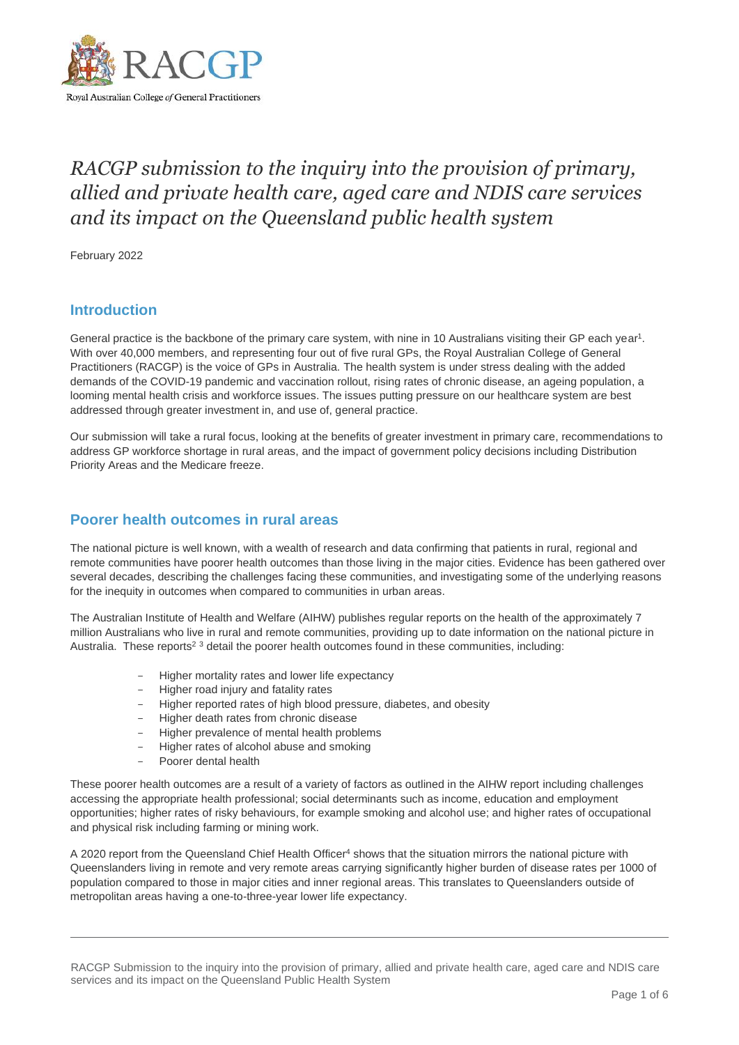

# *RACGP submission to the inquiry into the provision of primary, allied and private health care, aged care and NDIS care services and its impact on the Queensland public health system*

February 2022

## **Introduction**

General practice is the backbone of the primary care system, with nine in 10 Australians visiting their GP each year<sup>1</sup>. With over 40,000 members, and representing four out of five rural GPs, the Royal Australian College of General Practitioners (RACGP) is the voice of GPs in Australia. The health system is under stress dealing with the added demands of the COVID-19 pandemic and vaccination rollout, rising rates of chronic disease, an ageing population, a looming mental health crisis and workforce issues. The issues putting pressure on our healthcare system are best addressed through greater investment in, and use of, general practice.

Our submission will take a rural focus, looking at the benefits of greater investment in primary care, recommendations to address GP workforce shortage in rural areas, and the impact of government policy decisions including Distribution Priority Areas and the Medicare freeze.

#### **Poorer health outcomes in rural areas**

The national picture is well known, with a wealth of research and data confirming that patients in rural, regional and remote communities have poorer health outcomes than those living in the major cities. Evidence has been gathered over several decades, describing the challenges facing these communities, and investigating some of the underlying reasons for the inequity in outcomes when compared to communities in urban areas.

The Australian Institute of Health and Welfare (AIHW) publishes regular reports on the health of the approximately 7 million Australians who live in rural and remote communities, providing up to date information on the national picture in Australia. These reports<sup>2</sup> 3 detail the poorer health outcomes found in these communities, including:

- Higher mortality rates and lower life expectancy
- Higher road injury and fatality rates
- Higher reported rates of high blood pressure, diabetes, and obesity
- Higher death rates from chronic disease
- Higher prevalence of mental health problems
- Higher rates of alcohol abuse and smoking
- Poorer dental health

These poorer health outcomes are a result of a variety of factors as outlined in the AIHW report including challenges accessing the appropriate health professional; social determinants such as income, education and employment opportunities; higher rates of risky behaviours, for example smoking and alcohol use; and higher rates of occupational and physical risk including farming or mining work.

A 2020 report from the Queensland Chief Health Officer<sup>4</sup> shows that the situation mirrors the national picture with Queenslanders living in remote and very remote areas carrying significantly higher burden of disease rates per 1000 of population compared to those in major cities and inner regional areas. This translates to Queenslanders outside of metropolitan areas having a one-to-three-year lower life expectancy.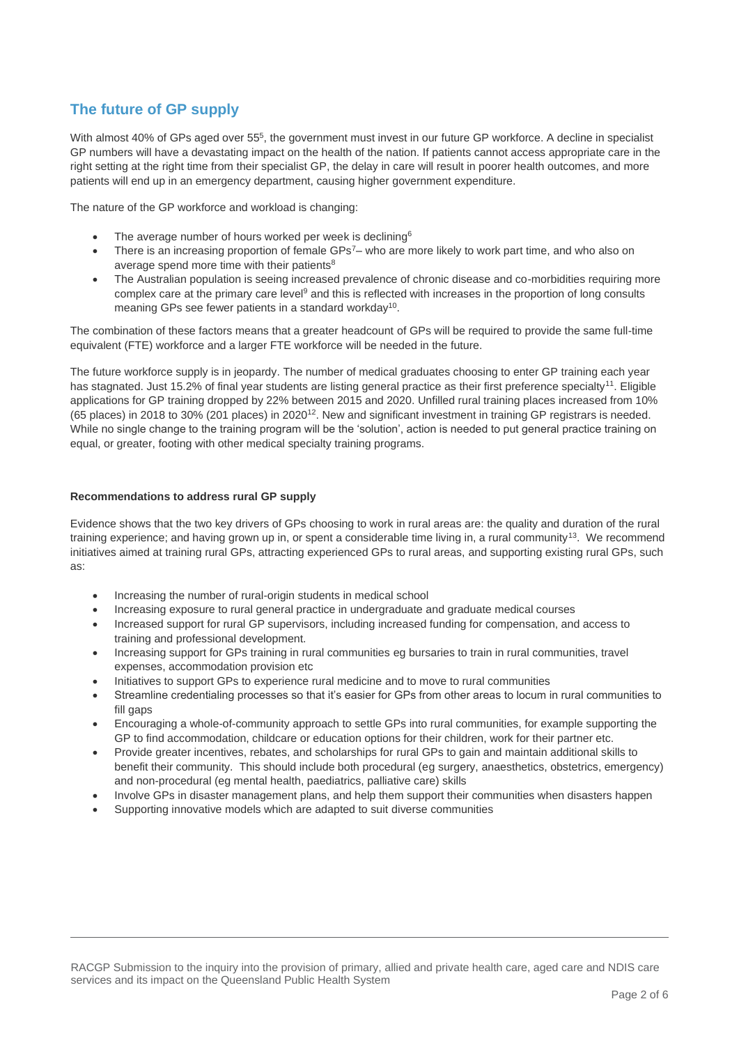# **The future of GP supply**

With almost 40% of GPs aged over 55<sup>5</sup>, the government must invest in our future GP workforce. A decline in specialist GP numbers will have a devastating impact on the health of the nation. If patients cannot access appropriate care in the right setting at the right time from their specialist GP, the delay in care will result in poorer health outcomes, and more patients will end up in an emergency department, causing higher government expenditure.

The nature of the GP workforce and workload is changing:

- The average number of hours worked per week is declining<sup>6</sup>
- There is an increasing proportion of female GPs<sup>7</sup>– who are more likely to work part time, and who also on average spend more time with their patients<sup>8</sup>
- The Australian population is seeing increased prevalence of chronic disease and co-morbidities requiring more complex care at the primary care level<sup>9</sup> and this is reflected with increases in the proportion of long consults meaning GPs see fewer patients in a standard workday<sup>10</sup>.

The combination of these factors means that a greater headcount of GPs will be required to provide the same full-time equivalent (FTE) workforce and a larger FTE workforce will be needed in the future.

The future workforce supply is in jeopardy. The number of medical graduates choosing to enter GP training each year has stagnated. Just 15.2% of final year students are listing general practice as their first preference specialty<sup>11</sup>. Eligible applications for GP training dropped by 22% between 2015 and 2020. Unfilled rural training places increased from 10% (65 places) in 2018 to 30% (201 places) in 2020<sup>12</sup>. New and significant investment in training GP registrars is needed. While no single change to the training program will be the 'solution', action is needed to put general practice training on equal, or greater, footing with other medical specialty training programs.

#### **Recommendations to address rural GP supply**

Evidence shows that the two key drivers of GPs choosing to work in rural areas are: the quality and duration of the rural training experience; and having grown up in, or spent a considerable time living in, a rural community<sup>13</sup>. We recommend initiatives aimed at training rural GPs, attracting experienced GPs to rural areas, and supporting existing rural GPs, such as:

- Increasing the number of rural-origin students in medical school
- Increasing exposure to rural general practice in undergraduate and graduate medical courses
- Increased support for rural GP supervisors, including increased funding for compensation, and access to training and professional development.
- Increasing support for GPs training in rural communities eg bursaries to train in rural communities, travel expenses, accommodation provision etc
- Initiatives to support GPs to experience rural medicine and to move to rural communities
- Streamline credentialing processes so that it's easier for GPs from other areas to locum in rural communities to fill gaps
- Encouraging a whole-of-community approach to settle GPs into rural communities, for example supporting the GP to find accommodation, childcare or education options for their children, work for their partner etc.
- Provide greater incentives, rebates, and scholarships for rural GPs to gain and maintain additional skills to benefit their community. This should include both procedural (eg surgery, anaesthetics, obstetrics, emergency) and non-procedural (eg mental health, paediatrics, palliative care) skills
- Involve GPs in disaster management plans, and help them support their communities when disasters happen
- Supporting innovative models which are adapted to suit diverse communities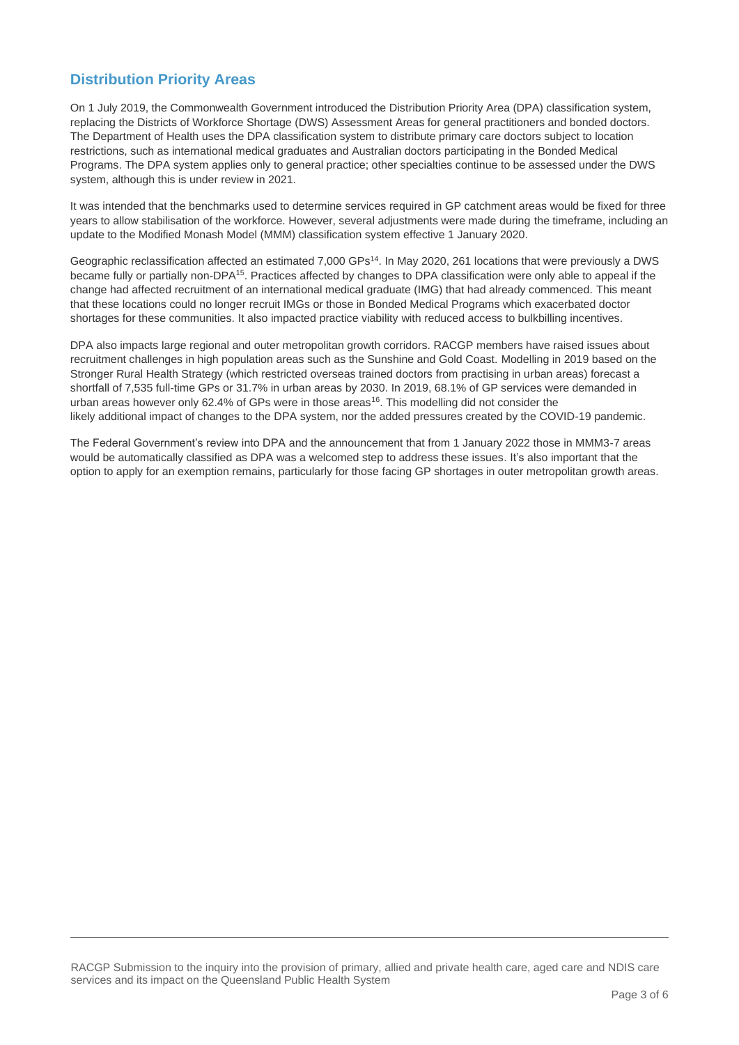# **Distribution Priority Areas**

On 1 July 2019, the Commonwealth Government introduced the Distribution Priority Area (DPA) classification system, replacing the Districts of Workforce Shortage (DWS) Assessment Areas for general practitioners and bonded doctors. The Department of Health uses the DPA classification system to distribute primary care doctors subject to location restrictions, such as international medical graduates and Australian doctors participating in the Bonded Medical Programs. The DPA system applies only to general practice; other specialties continue to be assessed under the DWS system, although this is under review in 2021.

It was intended that the benchmarks used to determine services required in GP catchment areas would be fixed for three years to allow stabilisation of the workforce. However, several adjustments were made during the timeframe, including an update to the Modified Monash Model (MMM) classification system effective 1 January 2020.

Geographic reclassification affected an estimated 7,000 GPs<sup>14</sup>. In May 2020, 261 locations that were previously a DWS became fully or partially non-DPA<sup>15</sup>. Practices affected by changes to DPA classification were only able to appeal if the change had affected recruitment of an international medical graduate (IMG) that had already commenced. This meant that these locations could no longer recruit IMGs or those in Bonded Medical Programs which exacerbated doctor shortages for these communities. It also impacted practice viability with reduced access to bulkbilling incentives.

DPA also impacts large regional and outer metropolitan growth corridors. RACGP members have raised issues about recruitment challenges in high population areas such as the Sunshine and Gold Coast. Modelling in 2019 based on the Stronger Rural Health Strategy (which restricted overseas trained doctors from practising in urban areas) forecast a shortfall of 7,535 full-time GPs or 31.7% in urban areas by 2030. In 2019, 68.1% of GP services were demanded in urban areas however only 62.4% of GPs were in those areas<sup>16</sup>. This modelling did not consider the likely additional impact of changes to the DPA system, nor the added pressures created by the COVID-19 pandemic.

The Federal Government's review into DPA and the announcement that from 1 January 2022 those in MMM3-7 areas would be automatically classified as DPA was a welcomed step to address these issues. It's also important that the option to apply for an exemption remains, particularly for those facing GP shortages in outer metropolitan growth areas.

RACGP Submission to the inquiry into the provision of primary, allied and private health care, aged care and NDIS care services and its impact on the Queensland Public Health System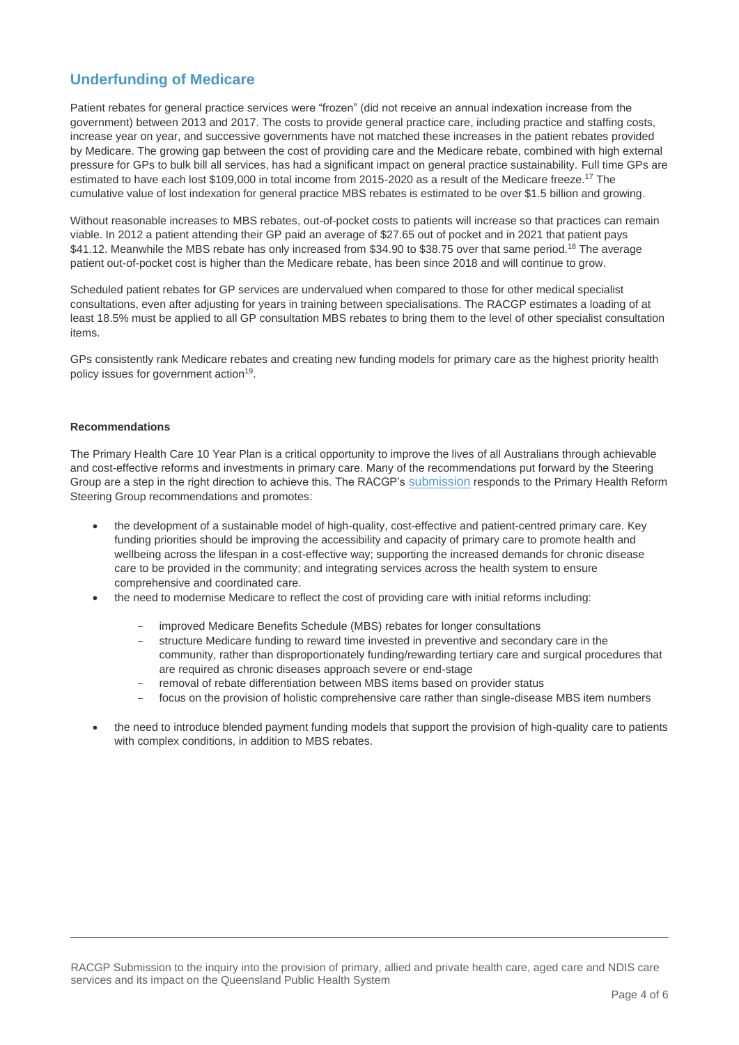# **Underfunding of Medicare**

Patient rebates for general practice services were "frozen" (did not receive an annual indexation increase from the government) between 2013 and 2017. The costs to provide general practice care, including practice and staffing costs, increase year on year, and successive governments have not matched these increases in the patient rebates provided by Medicare. The growing gap between the cost of providing care and the Medicare rebate, combined with high external pressure for GPs to bulk bill all services, has had a significant impact on general practice sustainability. Full time GPs are estimated to have each lost \$109,000 in total income from 2015-2020 as a result of the Medicare freeze.<sup>17</sup> The cumulative value of lost indexation for general practice MBS rebates is estimated to be over \$1.5 billion and growing.

Without reasonable increases to MBS rebates, out-of-pocket costs to patients will increase so that practices can remain viable. In 2012 a patient attending their GP paid an average of \$27.65 out of pocket and in 2021 that patient pays \$41.12. Meanwhile the MBS rebate has only increased from \$34.90 to \$38.75 over that same period.<sup>18</sup> The average patient out-of-pocket cost is higher than the Medicare rebate, has been since 2018 and will continue to grow.

Scheduled patient rebates for GP services are undervalued when compared to those for other medical specialist consultations, even after adjusting for years in training between specialisations. The RACGP estimates a loading of at least 18.5% must be applied to all GP consultation MBS rebates to bring them to the level of other specialist consultation items.

GPs consistently rank Medicare rebates and creating new funding models for primary care as the highest priority health policy issues for government action<sup>19</sup>.

#### **Recommendations**

The Primary Health Care 10 Year Plan is a critical opportunity to improve the lives of all Australians through achievable and cost-effective reforms and investments in primary care. Many of the recommendations put forward by the Steering Group are a step in the right direction to achieve this. The RACGP's [submission](https://www.racgp.org.au/advocacy/reports-and-submissions/view-all-reports-and-submissions/2021-reports-and-submissions/submission-to-primary-care-reform-steering-group) responds to the Primary Health Reform Steering Group recommendations and promotes:

- the development of a sustainable model of high-quality, cost-effective and patient-centred primary care. Key funding priorities should be improving the accessibility and capacity of primary care to promote health and wellbeing across the lifespan in a cost-effective way; supporting the increased demands for chronic disease care to be provided in the community; and integrating services across the health system to ensure comprehensive and coordinated care.
- the need to modernise Medicare to reflect the cost of providing care with initial reforms including:
	- improved Medicare Benefits Schedule (MBS) rebates for longer consultations
	- structure Medicare funding to reward time invested in preventive and secondary care in the community, rather than disproportionately funding/rewarding tertiary care and surgical procedures that are required as chronic diseases approach severe or end-stage
	- removal of rebate differentiation between MBS items based on provider status
	- focus on the provision of holistic comprehensive care rather than single-disease MBS item numbers
- the need to introduce blended payment funding models that support the provision of high-quality care to patients with complex conditions, in addition to MBS rebates.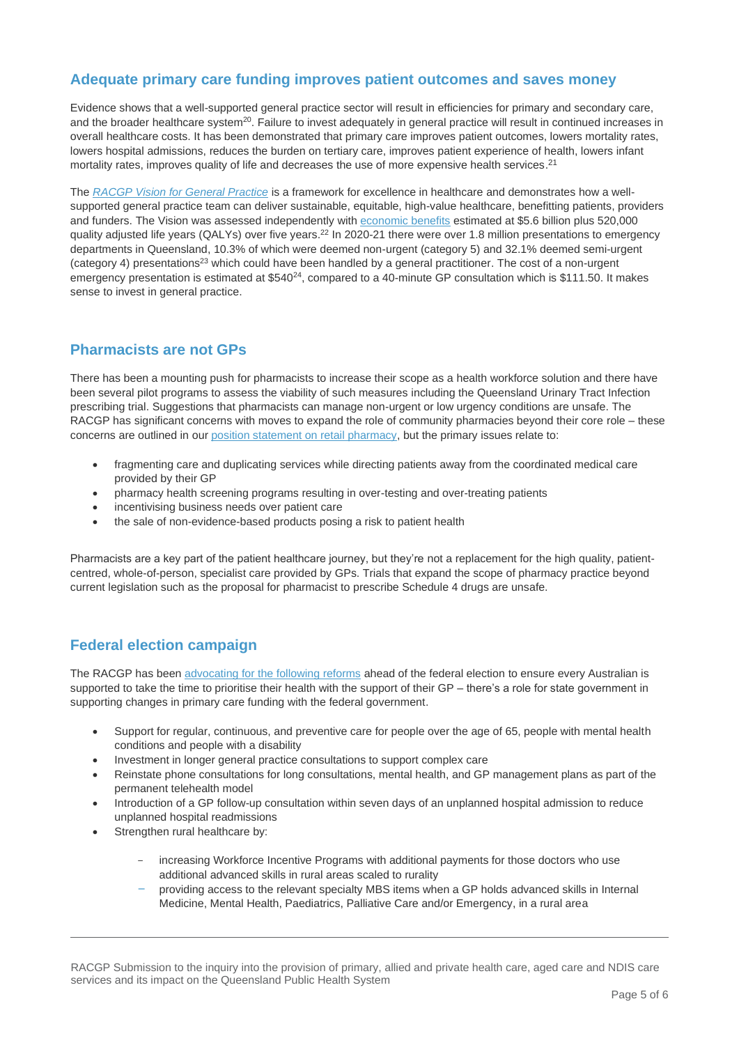# **Adequate primary care funding improves patient outcomes and saves money**

Evidence shows that a well-supported general practice sector will result in efficiencies for primary and secondary care, and the broader healthcare system<sup>20</sup>. Failure to invest adequately in general practice will result in continued increases in overall healthcare costs. It has been demonstrated that primary care improves patient outcomes, lowers mortality rates, lowers hospital admissions, reduces the burden on tertiary care, improves patient experience of health, lowers infant mortality rates, improves quality of life and decreases the use of more expensive health services.<sup>21</sup>

The *[RACGP Vision for General Practice](https://www.racgp.org.au/advocacy/advocacy-resources/the-vision-for-general-practice/the-vision)* is a framework for excellence in healthcare and demonstrates how a wellsupported general practice team can deliver sustainable, equitable, high-value healthcare, benefitting patients, providers and funders. The Vision was assessed independently with [economic](https://www.racgp.org.au/FSDEDEV/media/documents/RACGP/Advocacy/Economic-evaluation-of-the-RACGP-vision.pdf) benefits estimated at \$5.6 billion plus 520,000 quality adjusted life years (QALYs) over five years.<sup>22</sup> In 2020-21 there were over 1.8 million presentations to emergency departments in Queensland, 10.3% of which were deemed non-urgent (category 5) and 32.1% deemed semi-urgent (category 4) presentations<sup>23</sup> which could have been handled by a general practitioner. The cost of a non-urgent emergency presentation is estimated at \$540<sup>24</sup>, compared to a 40-minute GP consultation which is \$111.50. It makes sense to invest in general practice.

## **Pharmacists are not GPs**

There has been a mounting push for pharmacists to increase their scope as a health workforce solution and there have been several pilot programs to assess the viability of such measures including the Queensland Urinary Tract Infection prescribing trial. Suggestions that pharmacists can manage non-urgent or low urgency conditions are unsafe. The RACGP has significant concerns with moves to expand the role of community pharmacies beyond their core role – these concerns are outlined in our [position statement on retail pharmacy,](https://www.racgp.org.au/advocacy/position-statements/view-all-position-statements/health-systems-and-environmental/retail-pharmacy) but the primary issues relate to:

- fragmenting care and duplicating services while directing patients away from the coordinated medical care provided by their GP
- pharmacy health screening programs resulting in over-testing and over-treating patients
- incentivising business needs over patient care
- the sale of non-evidence-based products posing a risk to patient health

Pharmacists are a key part of the patient healthcare journey, but they're not a replacement for the high quality, patientcentred, whole-of-person, specialist care provided by GPs. Trials that expand the scope of pharmacy practice beyond current legislation such as the proposal for pharmacist to prescribe Schedule 4 drugs are unsafe.

# **Federal election campaign**

The RACGP has bee[n advocating for the following reforms](https://www.racgp.org.au/FSDEDEV/media/documents/Advocacy/Primary-Care-Priorities-long-form.pdf) ahead of the federal election to ensure every Australian is supported to take the time to prioritise their health with the support of their GP – there's a role for state government in supporting changes in primary care funding with the federal government.

- Support for regular, continuous, and preventive care for people over the age of 65, people with mental health conditions and people with a disability
- Investment in longer general practice consultations to support complex care
- Reinstate phone consultations for long consultations, mental health, and GP management plans as part of the permanent telehealth model
- Introduction of a GP follow-up consultation within seven days of an unplanned hospital admission to reduce unplanned hospital readmissions
- Strengthen rural healthcare by:
	- increasing Workforce Incentive Programs with additional payments for those doctors who use additional advanced skills in rural areas scaled to rurality
	- providing access to the relevant specialty MBS items when a GP holds advanced skills in Internal Medicine, Mental Health, Paediatrics, Palliative Care and/or Emergency, in a rural area